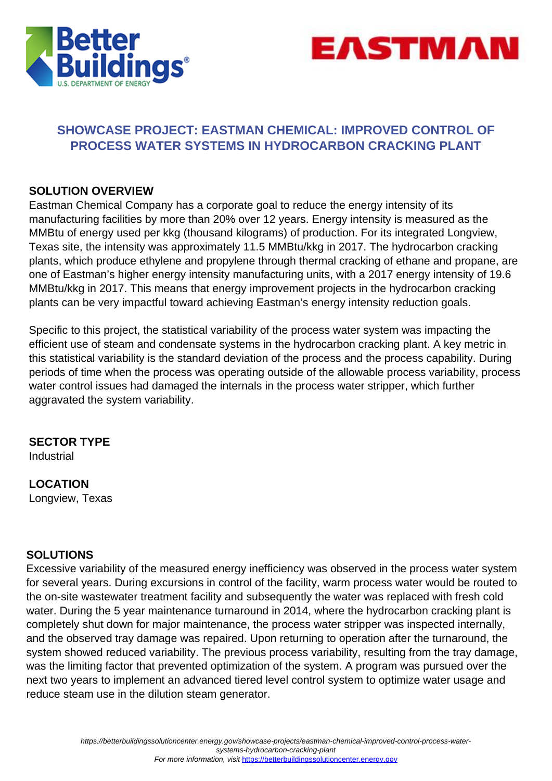



### **SHOWCASE PROJECT: EASTMAN CHEMICAL: IMPROVED CONTROL OF PROCESS WATER SYSTEMS IN HYDROCARBON CRACKING PLANT**

### **SOLUTION OVERVIEW**

Eastman Chemical Company has a corporate goal to reduce the energy intensity of its manufacturing facilities by more than 20% over 12 years. Energy intensity is measured as the MMBtu of energy used per kkg (thousand kilograms) of production. For its integrated Longview, Texas site, the intensity was approximately 11.5 MMBtu/kkg in 2017. The hydrocarbon cracking plants, which produce ethylene and propylene through thermal cracking of ethane and propane, are one of Eastman's higher energy intensity manufacturing units, with a 2017 energy intensity of 19.6 MMBtu/kkg in 2017. This means that energy improvement projects in the hydrocarbon cracking plants can be very impactful toward achieving Eastman's energy intensity reduction goals.

Specific to this project, the statistical variability of the process water system was impacting the efficient use of steam and condensate systems in the hydrocarbon cracking plant. A key metric in this statistical variability is the standard deviation of the process and the process capability. During periods of time when the process was operating outside of the allowable process variability, process water control issues had damaged the internals in the process water stripper, which further aggravated the system variability.

# **SECTOR TYPE**

Industrial

**LOCATION** Longview, Texas

#### **SOLUTIONS**

Excessive variability of the measured energy inefficiency was observed in the process water system for several years. During excursions in control of the facility, warm process water would be routed to the on-site wastewater treatment facility and subsequently the water was replaced with fresh cold water. During the 5 year maintenance turnaround in 2014, where the hydrocarbon cracking plant is completely shut down for major maintenance, the process water stripper was inspected internally, and the observed tray damage was repaired. Upon returning to operation after the turnaround, the system showed reduced variability. The previous process variability, resulting from the tray damage, was the limiting factor that prevented optimization of the system. A program was pursued over the next two years to implement an advanced tiered level control system to optimize water usage and reduce steam use in the dilution steam generator.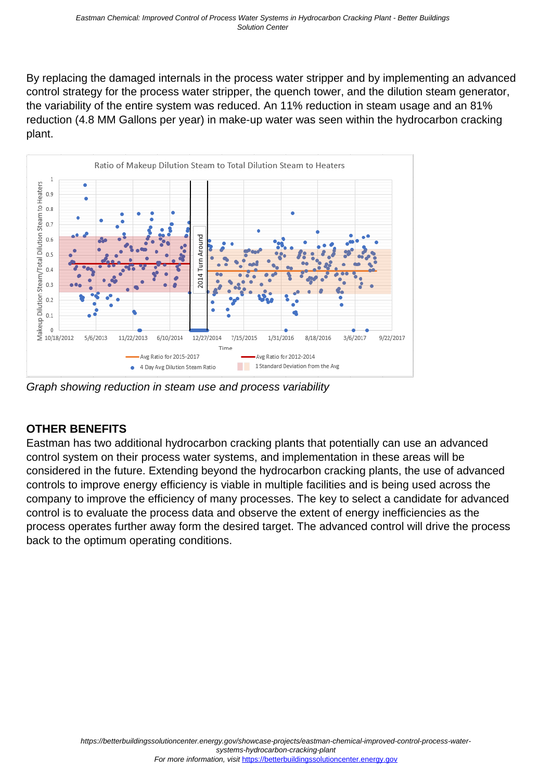By replacing the damaged internals in the process water stripper and by implementing an advanced control strategy for the process water stripper, the quench tower, and the dilution steam generator, the variability of the entire system was reduced. An 11% reduction in steam usage and an 81% reduction (4.8 MM Gallons per year) in make-up water was seen within the hydrocarbon cracking plant.



Graph showing reduction in steam use and process variability

## **OTHER BENEFITS**

Eastman has two additional hydrocarbon cracking plants that potentially can use an advanced control system on their process water systems, and implementation in these areas will be considered in the future. Extending beyond the hydrocarbon cracking plants, the use of advanced controls to improve energy efficiency is viable in multiple facilities and is being used across the company to improve the efficiency of many processes. The key to select a candidate for advanced control is to evaluate the process data and observe the extent of energy inefficiencies as the process operates further away form the desired target. The advanced control will drive the process back to the optimum operating conditions.